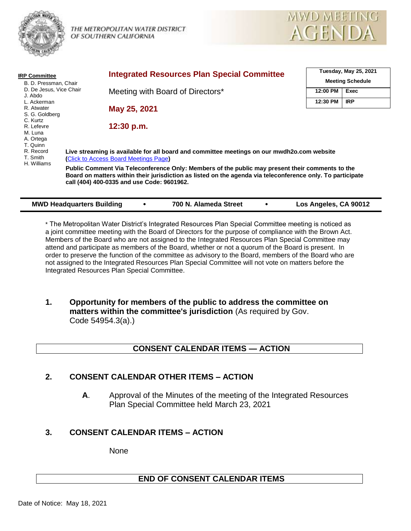

THE METROPOLITAN WATER DISTRICT OF SOUTHERN CALIFORNIA



| <b>IRP Committee</b>                 | <b>Integrated Resources Plan Special Committee</b>                                                                                                                                                                                                          |          | Tuesday, May 25, 2021<br><b>Meeting Schedule</b> |  |
|--------------------------------------|-------------------------------------------------------------------------------------------------------------------------------------------------------------------------------------------------------------------------------------------------------------|----------|--------------------------------------------------|--|
| B. D. Pressman, Chair                |                                                                                                                                                                                                                                                             |          |                                                  |  |
| D. De Jesus, Vice Chair<br>J. Abdo   | Meeting with Board of Directors*                                                                                                                                                                                                                            | 12:00 PM | Exec                                             |  |
| L. Ackerman                          |                                                                                                                                                                                                                                                             | 12:30 PM | <b>IRP</b>                                       |  |
| R. Atwater<br>S. G. Goldberg         | May 25, 2021                                                                                                                                                                                                                                                |          |                                                  |  |
| C. Kurtz                             |                                                                                                                                                                                                                                                             |          |                                                  |  |
| R. Lefevre<br>M. Luna                | 12:30 p.m.                                                                                                                                                                                                                                                  |          |                                                  |  |
| A. Ortega                            |                                                                                                                                                                                                                                                             |          |                                                  |  |
| T. Quinn                             |                                                                                                                                                                                                                                                             |          |                                                  |  |
| R. Record<br>T. Smith<br>H. Williams | Live streaming is available for all board and committee meetings on our mwdh2o.com website<br>(Click to Access Board Meetings Page)                                                                                                                         |          |                                                  |  |
|                                      | Public Comment Via Teleconference Only: Members of the public may present their comments to the<br>Board on matters within their jurisdiction as listed on the agenda via teleconference only. To participate<br>call (404) 400-0335 and use Code: 9601962. |          |                                                  |  |
|                                      |                                                                                                                                                                                                                                                             |          |                                                  |  |

| * The Metropolitan Water District's Integrated Resources Plan Special Committee meeting is noticed as   |  |  |
|---------------------------------------------------------------------------------------------------------|--|--|
| a joint committee meeting with the Board of Directors for the purpose of compliance with the Brown Act. |  |  |
| Members of the Board who are not assigned to the Integrated Resources Plan Special Committee may        |  |  |
| attend and participate as members of the Board, whether or not a quorum of the Board is present. In     |  |  |
| order to preserve the function of the committee as advisory to the Board, members of the Board who are  |  |  |
| not assigned to the Integrated Resources Plan Special Committee will not vote on matters before the     |  |  |
| Integrated Resources Plan Special Committee.                                                            |  |  |

**MWD Headquarters Building • 700 N. Alameda Street • Los Angeles, CA 90012** 

**1. Opportunity for members of the public to address the committee on matters within the committee's jurisdiction** (As required by Gov. Code 54954.3(a).)

# **CONSENT CALENDAR ITEMS — ACTION**

# **2. CONSENT CALENDAR OTHER ITEMS – ACTION**

**A**. Approval of the Minutes of the meeting of the Integrated Resources Plan Special Committee held March 23, 2021

# **3. CONSENT CALENDAR ITEMS – ACTION**

None

# **END OF CONSENT CALENDAR ITEMS**